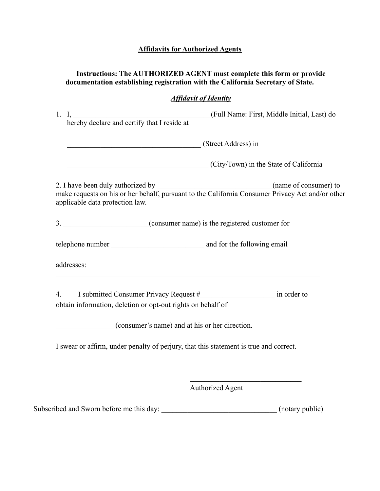#### **Affidavits for Authorized Agents**

#### **Instructions: The AUTHORIZED AGENT must complete this form or provide documentation establishing registration with the California Secretary of State.**

## *Affidavit of Identity*

| 1. I,<br>hereby declare and certify that I reside at                                  | (Full Name: First, Middle Initial, Last) do |  |
|---------------------------------------------------------------------------------------|---------------------------------------------|--|
| (Street Address) in                                                                   |                                             |  |
|                                                                                       | (City/Town) in the State of California      |  |
| applicable data protection law.                                                       |                                             |  |
| 3. _________________________(consumer name) is the registered customer for            |                                             |  |
|                                                                                       |                                             |  |
| addresses:                                                                            |                                             |  |
| 4.<br>obtain information, deletion or opt-out rights on behalf of                     |                                             |  |
| (consumer's name) and at his or her direction.                                        |                                             |  |
| I swear or affirm, under penalty of perjury, that this statement is true and correct. |                                             |  |
|                                                                                       |                                             |  |
|                                                                                       | <b>Authorized Agent</b>                     |  |

Subscribed and Sworn before me this day: \_\_\_\_\_\_\_\_\_\_\_\_\_\_\_\_\_\_\_\_\_\_\_\_\_\_\_\_\_\_\_ (notary public)